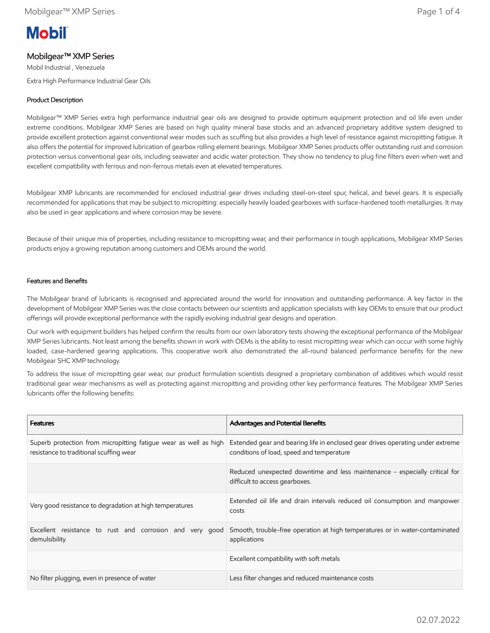# **Mobil**

## Mobilgear™ XMP Series

Mobil Industrial , Venezuela Extra High Performance Industrial Gear Oils

### Product Description

Mobilgear™ XMP Series extra high performance industrial gear oils are designed to provide optimum equipment protection and oil life even under extreme conditions. Mobilgear XMP Series are based on high quality mineral base stocks and an advanced proprietary additive system designed to provide excellent protection against conventional wear modes such as scuffing but also provides a high level of resistance against micropitting fatigue. It also offers the potential for improved lubrication of gearbox rolling element bearings. Mobilgear XMP Series products offer outstanding rust and corrosion protection versus conventional gear oils, including seawater and acidic water protection. They show no tendency to plug fine filters even when wet and excellent compatibility with ferrous and non-ferrous metals even at elevated temperatures.

Mobilgear XMP lubricants are recommended for enclosed industrial gear drives including steel-on-steel spur, helical, and bevel gears. It is especially recommended for applications that may be subject to micropitting: especially heavily loaded gearboxes with surface-hardened tooth metallurgies. It may also be used in gear applications and where corrosion may be severe.

Because of their unique mix of properties, including resistance to micropitting wear, and their performance in tough applications, Mobilgear XMP Series products enjoy a growing reputation among customers and OEMs around the world.

#### Features and Benefits

The Mobilgear brand of lubricants is recognised and appreciated around the world for innovation and outstanding performance. A key factor in the development of Mobilgear XMP Series was the close contacts between our scientists and application specialists with key OEMs to ensure that our product offerings will provide exceptional performance with the rapidly evolving industrial gear designs and operation.

Our work with equipment builders has helped confirm the results from our own laboratory tests showing the exceptional performance of the Mobilgear XMP Series lubricants. Not least among the benefits shown in work with OEMs is the ability to resist micropitting wear which can occur with some highly loaded, case-hardened gearing applications. This cooperative work also demonstrated the all-round balanced performance benefits for the new Mobilgear SHC XMP technology.

To address the issue of micropitting gear wear, our product formulation scientists designed a proprietary combination of additives which would resist traditional gear wear mechanisms as well as protecting against micropitting and providing other key performance features. The Mobilgear XMP Series lubricants offer the following benefits:

| <b>Features</b>                                                                                             | <b>Advantages and Potential Benefits</b>                                                                                    |
|-------------------------------------------------------------------------------------------------------------|-----------------------------------------------------------------------------------------------------------------------------|
| Superb protection from micropitting fatique wear as well as high<br>resistance to traditional scuffing wear | Extended gear and bearing life in enclosed gear drives operating under extreme<br>conditions of load, speed and temperature |
|                                                                                                             | Reduced unexpected downtime and less maintenance - especially critical for<br>difficult to access gearboxes.                |
| Very good resistance to degradation at high temperatures                                                    | Extended oil life and drain intervals reduced oil consumption and manpower<br>costs                                         |
| Excellent resistance to rust and corrosion and very good<br>demulsibility                                   | Smooth, trouble-free operation at high temperatures or in water-contaminated<br>applications                                |
|                                                                                                             | Excellent compatibility with soft metals                                                                                    |
| No filter plugging, even in presence of water                                                               | Less filter changes and reduced maintenance costs                                                                           |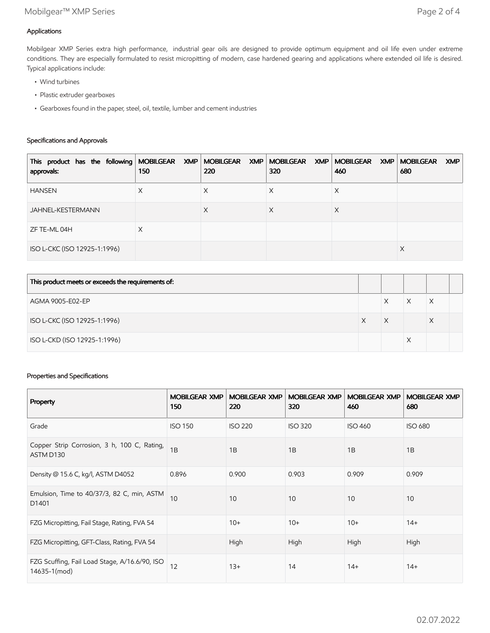## Applications

Mobilgear XMP Series extra high performance, industrial gear oils are designed to provide optimum equipment and oil life even under extreme conditions. They are especially formulated to resist micropitting of modern, case hardened gearing and applications where extended oil life is desired. Typical applications include:

- Wind turbines
- Plastic extruder gearboxes
- Gearboxes found in the paper, steel, oil, textile, lumber and cement industries

#### Specifications and Approvals

| This product has the following   MOBILGEAR XMP   MOBILGEAR XMP   MOBILGEAR XMP   MOBILGEAR XMP  <br>approvals: | 150 | 220 | 320 | 460 | <b>MOBILGEAR</b><br><b>XMP</b><br>680 |
|----------------------------------------------------------------------------------------------------------------|-----|-----|-----|-----|---------------------------------------|
| <b>HANSEN</b>                                                                                                  | X   | Х   | ∧   | Х   |                                       |
| JAHNEL-KESTERMANN                                                                                              |     | X   | Х   | Χ   |                                       |
| ZF TE-ML 04H                                                                                                   | X   |     |     |     |                                       |
| ISO L-CKC (ISO 12925-1:1996)                                                                                   |     |     |     |     | X                                     |

| This product meets or exceeds the requirements of: |   |   |  |
|----------------------------------------------------|---|---|--|
| AGMA 9005-E02-EP                                   | Χ | Х |  |
| ISO L-CKC (ISO 12925-1:1996)                       | Χ | X |  |
| ISO L-CKD (ISO 12925-1:1996)                       |   |   |  |

#### Properties and Specifications

| Property                                                      | <b>MOBILGEAR XMP</b><br>150 | <b>MOBILGEAR XMP</b><br>220 | <b>MOBILGEAR XMP</b><br>320 | <b>MOBILGEAR XMP</b><br>460 | <b>MOBILGEAR XMP</b><br>680 |
|---------------------------------------------------------------|-----------------------------|-----------------------------|-----------------------------|-----------------------------|-----------------------------|
| Grade                                                         | <b>ISO 150</b>              | <b>ISO 220</b>              | <b>ISO 320</b>              | <b>ISO 460</b>              | <b>ISO 680</b>              |
| Copper Strip Corrosion, 3 h, 100 C, Rating,<br>ASTM D130      | 1B                          | 1B                          | 1B                          | 1B                          | 1B                          |
| Density @ 15.6 C, kg/l, ASTM D4052                            | 0.896                       | 0.900                       | 0.903                       | 0.909                       | 0.909                       |
| Emulsion, Time to 40/37/3, 82 C, min, ASTM<br>D1401           | 10                          | 10                          | 10                          | 10                          | 10                          |
| FZG Micropitting, Fail Stage, Rating, FVA 54                  |                             | $10+$                       | $10+$                       | $10+$                       | $14+$                       |
| FZG Micropitting, GFT-Class, Rating, FVA 54                   |                             | High                        | High                        | High                        | High                        |
| FZG Scuffing, Fail Load Stage, A/16.6/90, ISO<br>14635-1(mod) | 12                          | $13+$                       | 14                          | $14+$                       | $14+$                       |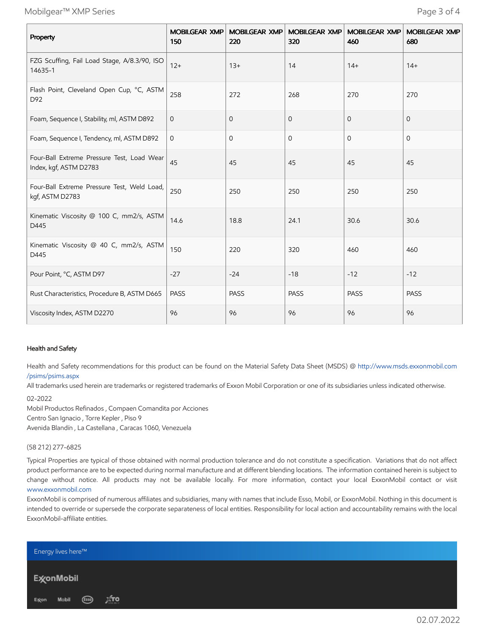Mobilgear™ XMP Series Page 3 of 4

| Property                                                             | 150          | MOBILGEAR XMP MOBILGEAR XMP<br>220 | <b>MOBILGEAR XMP</b><br>320 | <b>MOBILGEAR XMP</b><br>460 | <b>MOBILGEAR XMP</b><br>680 |
|----------------------------------------------------------------------|--------------|------------------------------------|-----------------------------|-----------------------------|-----------------------------|
| FZG Scuffing, Fail Load Stage, A/8.3/90, ISO<br>14635-1              | $12+$        | $13+$                              | 14                          | $14+$                       | $14+$                       |
| Flash Point, Cleveland Open Cup, °C, ASTM<br>D92                     | 258          | 272                                | 268                         | 270                         | 270                         |
| Foam, Sequence I, Stability, ml, ASTM D892                           | $\mathbf{0}$ | 0                                  | $\overline{0}$              | $\mathbf{0}$                | $\mathbf{O}$                |
| Foam, Sequence I, Tendency, ml, ASTM D892                            | $\mathbf{O}$ | 0                                  | 0                           | $\Omega$                    | $\Omega$                    |
| Four-Ball Extreme Pressure Test, Load Wear<br>Index, kgf, ASTM D2783 | 45           | 45                                 | 45                          | 45                          | 45                          |
| Four-Ball Extreme Pressure Test, Weld Load,<br>kgf, ASTM D2783       | 250          | 250                                | 250                         | 250                         | 250                         |
| Kinematic Viscosity @ 100 C, mm2/s, ASTM<br>D445                     | 14.6         | 18.8                               | 24.1                        | 30.6                        | 30.6                        |
| Kinematic Viscosity @ 40 C, mm2/s, ASTM<br>D445                      | 150          | 220                                | 320                         | 460                         | 460                         |
| Pour Point, °C, ASTM D97                                             | $-27$        | $-24$                              | $-18$                       | $-12$                       | $-12$                       |
| Rust Characteristics, Procedure B, ASTM D665                         | <b>PASS</b>  | <b>PASS</b>                        | <b>PASS</b>                 | <b>PASS</b>                 | <b>PASS</b>                 |
| Viscosity Index, ASTM D2270                                          | 96           | 96                                 | 96                          | 96                          | 96                          |

#### Health and Safety

Health and Safety recommendations for this product can be found on the Material Safety Data Sheet (MSDS) @ [http://www.msds.exxonmobil.com](http://www.msds.exxonmobil.com/psims/psims.aspx) /psims/psims.aspx

All trademarks used herein are trademarks or registered trademarks of Exxon Mobil Corporation or one of its subsidiaries unless indicated otherwise.

#### 02-2022

Mobil Productos Refinados , Compaen Comandita por Acciones Centro San Ignacio , Torre Kepler , Piso 9 Avenida Blandín , La Castellana , Caracas 1060, Venezuela

#### (58 212) 277-6825

Typical Properties are typical of those obtained with normal production tolerance and do not constitute a specification. Variations that do not affect product performance are to be expected during normal manufacture and at different blending locations. The information contained herein is subject to change without notice. All products may not be available locally. For more information, contact your local ExxonMobil contact or visit [www.exxonmobil.com](http://www.exxonmobil.com/)

ExxonMobil is comprised of numerous affiliates and subsidiaries, many with names that include Esso, Mobil, or ExxonMobil. Nothing in this document is intended to override or supersede the corporate separateness of local entities. Responsibility for local action and accountability remains with the local ExxonMobil-affiliate entities.